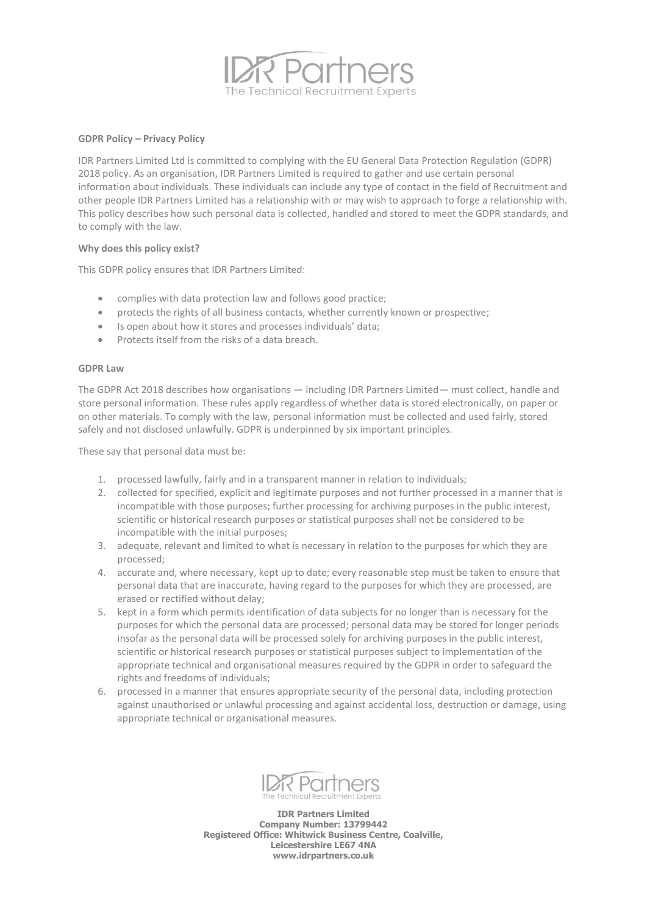

## **GDPR Policy – Privacy Policy**

IDR Partners Limited Ltd is committed to complying with the EU General Data Protection Regulation (GDPR) 2018 policy. As an organisation, IDR Partners Limited is required to gather and use certain personal information about individuals. These individuals can include any type of contact in the field of Recruitment and other people IDR Partners Limited has a relationship with or may wish to approach to forge a relationship with. This policy describes how such personal data is collected, handled and stored to meet the GDPR standards, and to comply with the law.

## **Why does this policy exist?**

This GDPR policy ensures that IDR Partners Limited:

- complies with data protection law and follows good practice;
- protects the rights of all business contacts, whether currently known or prospective;
- Is open about how it stores and processes individuals' data;
- Protects itself from the risks of a data breach

#### **GDPR Law**

The GDPR Act 2018 describes how organisations — including IDR Partners Limited— must collect, handle and store personal information. These rules apply regardless of whether data is stored electronically, on paper or on other materials. To comply with the law, personal information must be collected and used fairly, stored safely and not disclosed unlawfully. GDPR is underpinned by six important principles.

These say that personal data must be:

- 1. processed lawfully, fairly and in a transparent manner in relation to individuals;
- 2. collected for specified, explicit and legitimate purposes and not further processed in a manner that is incompatible with those purposes; further processing for archiving purposes in the public interest, scientific or historical research purposes or statistical purposes shall not be considered to be incompatible with the initial purposes;
- 3. adequate, relevant and limited to what is necessary in relation to the purposes for which they are processed;
- 4. accurate and, where necessary, kept up to date; every reasonable step must be taken to ensure that personal data that are inaccurate, having regard to the purposes for which they are processed, are erased or rectified without delay;
- 5. kept in a form which permits identification of data subjects for no longer than is necessary for the purposes for which the personal data are processed; personal data may be stored for longer periods insofar as the personal data will be processed solely for archiving purposes in the public interest, scientific or historical research purposes or statistical purposes subject to implementation of the appropriate technical and organisational measures required by the GDPR in order to safeguard the rights and freedoms of individuals;
- 6. processed in a manner that ensures appropriate security of the personal data, including protection against unauthorised or unlawful processing and against accidental loss, destruction or damage, using appropriate technical or organisational measures.



**IDR Partners Limited Company Number: 13799442 Registered Office: Whitwick Business Centre, Coalville, Leicestershire LE67 4NA www.idrpartners.co.uk**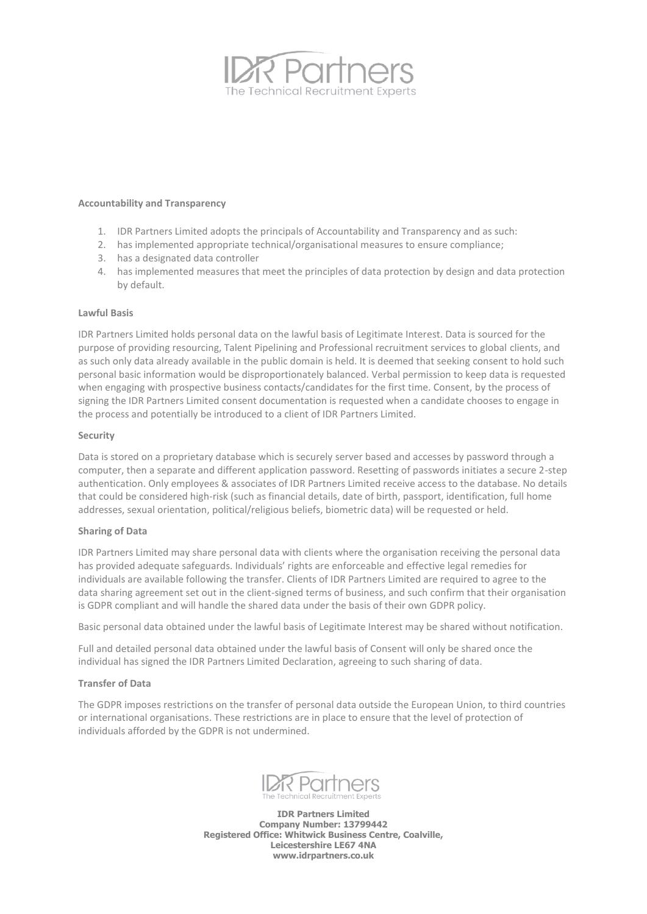

## **Accountability and Transparency**

- 1. IDR Partners Limited adopts the principals of Accountability and Transparency and as such:
- 2. has implemented appropriate technical/organisational measures to ensure compliance;
- 3. has a designated data controller
- 4. has implemented measures that meet the principles of data protection by design and data protection by default.

## **Lawful Basis**

IDR Partners Limited holds personal data on the lawful basis of Legitimate Interest. Data is sourced for the purpose of providing resourcing, Talent Pipelining and Professional recruitment services to global clients, and as such only data already available in the public domain is held. It is deemed that seeking consent to hold such personal basic information would be disproportionately balanced. Verbal permission to keep data is requested when engaging with prospective business contacts/candidates for the first time. Consent, by the process of signing the IDR Partners Limited consent documentation is requested when a candidate chooses to engage in the process and potentially be introduced to a client of IDR Partners Limited.

## **Security**

Data is stored on a proprietary database which is securely server based and accesses by password through a computer, then a separate and different application password. Resetting of passwords initiates a secure 2-step authentication. Only employees & associates of IDR Partners Limited receive access to the database. No details that could be considered high-risk (such as financial details, date of birth, passport, identification, full home addresses, sexual orientation, political/religious beliefs, biometric data) will be requested or held.

# **Sharing of Data**

IDR Partners Limited may share personal data with clients where the organisation receiving the personal data has provided adequate safeguards. Individuals' rights are enforceable and effective legal remedies for individuals are available following the transfer. Clients of IDR Partners Limited are required to agree to the data sharing agreement set out in the client-signed terms of business, and such confirm that their organisation is GDPR compliant and will handle the shared data under the basis of their own GDPR policy.

Basic personal data obtained under the lawful basis of Legitimate Interest may be shared without notification.

Full and detailed personal data obtained under the lawful basis of Consent will only be shared once the individual has signed the IDR Partners Limited Declaration, agreeing to such sharing of data.

#### **Transfer of Data**

The GDPR imposes restrictions on the transfer of personal data outside the European Union, to third countries or international organisations. These restrictions are in place to ensure that the level of protection of individuals afforded by the GDPR is not undermined.



**IDR Partners Limited Company Number: 13799442 Registered Office: Whitwick Business Centre, Coalville, Leicestershire LE67 4NA www.idrpartners.co.uk**